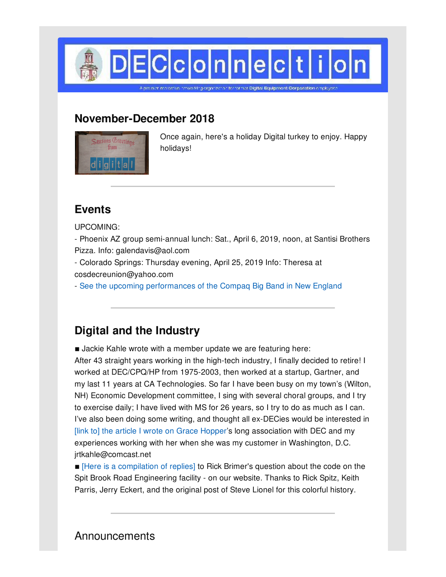

**November-December 2018**



Once again, here's a holiday Digital turkey to enjoy. Happy holidays!

## **Events**

UPCOMING:

- Phoenix AZ group semi-annual lunch: Sat., April 6, 2019, noon, at Santisi Brothers Pizza. Info: galendavis@aol.com

- Colorado Springs: Thursday evening, April 25, 2019 Info: Theresa at cosdecreunion@yahoo.com

- See the upcoming [performances](http://www.compaqbigband.com/gigs.php) of the Compaq Big Band in New England

# **Digital and the Industry**

**E** Jackie Kahle wrote with a member update we are featuring here:

After 43 straight years working in the high-tech industry, I finally decided to retire! I worked at DEC/CPQ/HP from 1975-2003, then worked at a startup, Gartner, and my last 11 years at CA Technologies. So far I have been busy on my town's (Wilton, NH) Economic Development committee, I sing with several choral groups, and I try to exercise daily; I have lived with MS for 26 years, so I try to do as much as I can. I've also been doing some writing, and thought all ex-DECies would be interested in [link to] the article I wrote on Grace [Hopper](http://www.decconnection.org/articles/ArticleonGraceHopper_final-JackieKahle.pdf)'s long association with DEC and my experiences working with her when she was my customer in Washington, D.C. jrtkahle@comcast.net

■ [Here is a [compilation](http://www.decconnection.org/zko.htm) of replies] to Rick Brimer's question about the code on the Spit Brook Road Engineering facility - on our website. Thanks to Rick Spitz, Keith Parris, Jerry Eckert, and the original post of Steve Lionel for this colorful history.

**Announcements**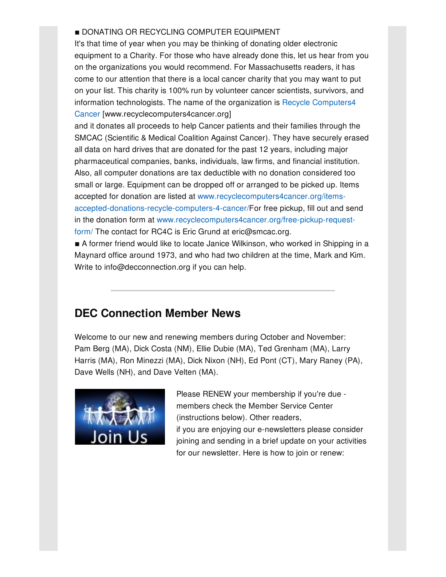### **DONATING OR RECYCLING COMPUTER EQUIPMENT**

It's that time of year when you may be thinking of donating older electronic equipment to a Charity. For those who have already done this, let us hear from you on the organizations you would recommend. For Massachusetts readers, it has come to our attention that there is a local cancer charity that you may want to put on your list. This charity is 100% run by volunteer cancer scientists, survivors, and information technologists. The name of the organization is Recycle Computers4 Cancer [\[www.recyclecomputers4cancer.org\]](http://www.recyclecomputers4cancer.org)

and it donates all proceeds to help Cancer patients and their families through the SMCAC (Scientific & Medical Coalition Against Cancer). They have securely erased all data on hard drives that are donated for the past 12 years, including major pharmaceutical companies, banks, individuals, law firms, and financial institution. Also, all computer donations are tax deductible with no donation considered too small or large. Equipment can be dropped off or arranged to be picked up. Items accepted for donation are listed at www.recyclecomputers4cancer.org/items[accepted-donations-recycle-computers-4-cancer/For](http://www.recyclecomputers4cancer.org/items-accepted-donations-recycle-computers-4-cancer/) free pickup, fill out and send in the donation form at [www.recyclecomputers4cancer.org/free-pickup-request](http://www.recyclecomputers4cancer.org/free-pickup-request-form/)form/ The contact for RC4C is Eric Grund at eric@smcac.org.

■ A former friend would like to locate Janice Wilkinson, who worked in Shipping in a Maynard office around 1973, and who had two children at the time, Mark and Kim. Write to info@decconnection.org if you can help.

## **DEC Connection Member News**

Welcome to our new and renewing members during October and November: Pam Berg (MA), Dick Costa (NM), Ellie Dubie (MA), Ted Grenham (MA), Larry Harris (MA), Ron Minezzi (MA), Dick Nixon (NH), Ed Pont (CT), Mary Raney (PA), Dave Wells (NH), and Dave Velten (MA).



Please RENEW your membership if you're due members check the Member Service Center (instructions below). Other readers, if you are enjoying our e-newsletters please consider

joining and sending in a brief update on your activities for our newsletter. Here is how to join or renew: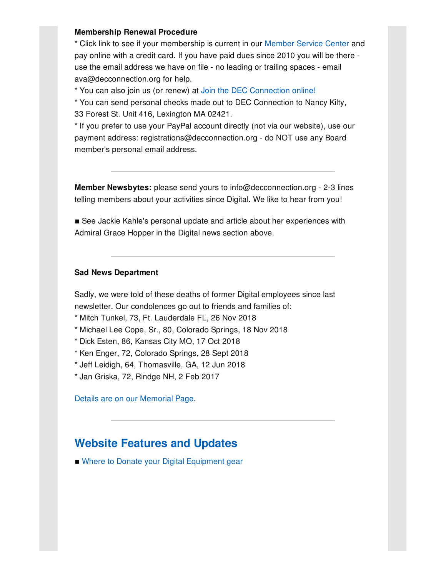#### **Membership Renewal Procedure**

\* Click link to see if your membership is current in our [Member](http://www.decconnection.org/msclogin.php) Service Center and pay online with a credit card. If you have paid dues since 2010 you will be there use the email address we have on file - no leading or trailing spaces - email ava@decconnection.org for help.

\* You can also join us (or renew) at Join the DEC [Connection](http://www.decconnection.org/join-online.htm) online!

\* You can send personal checks made out to DEC Connection to Nancy Kilty, 33 Forest St. Unit 416, Lexington MA 02421.

\* If you prefer to use your PayPal account directly (not via our website), use our payment address: registrations@decconnection.org - do NOT use any Board member's personal email address.

**Member Newsbytes:** please send yours to info@decconnection.org - 2-3 lines telling members about your activities since Digital. We like to hear from you!

■ See Jackie Kahle's personal update and article about her experiences with Admiral Grace Hopper in the Digital news section above.

#### **Sad News Department**

Sadly, we were told of these deaths of former Digital employees since last newsletter. Our condolences go out to friends and families of:

- \* Mitch Tunkel, 73, Ft. Lauderdale FL, 26 Nov 2018
- \* Michael Lee Cope, Sr., 80, Colorado Springs, 18 Nov 2018
- \* Dick Esten, 86, Kansas City MO, 17 Oct 2018
- \* Ken Enger, 72, Colorado Springs, 28 Sept 2018
- \* Jeff Leidigh, 64, Thomasville, GA, 12 Jun 2018
- \* Jan Griska, 72, Rindge NH, 2 Feb 2017

Details are on our [Memorial](http://www.decconnection.org/memorials.htm) Page.

### **Website [Features](http://www.decconnection.org) and Updates**

■ Where to Donate your Digital [Equipment](http://www.decconnection.org/DECdonations.htm) gear